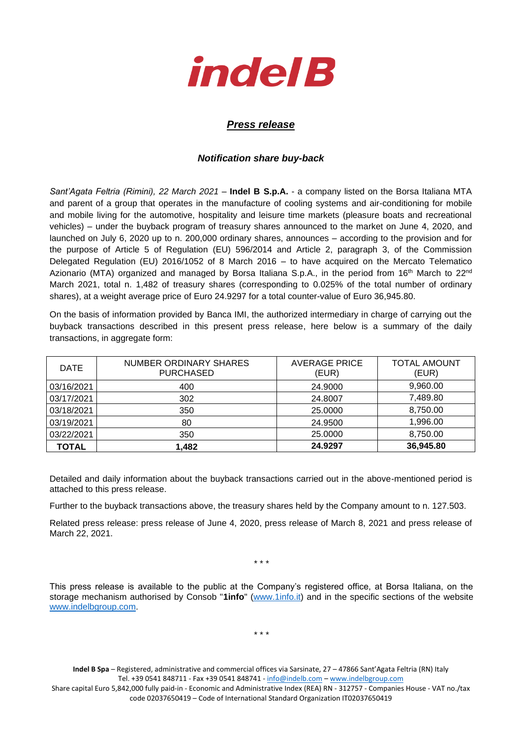

## *Press release*

## *Notification share buy-back*

*Sant'Agata Feltria (Rimini), 22 March 2021* – **Indel B S.p.A.** - a company listed on the Borsa Italiana MTA and parent of a group that operates in the manufacture of cooling systems and air-conditioning for mobile and mobile living for the automotive, hospitality and leisure time markets (pleasure boats and recreational vehicles) – under the buyback program of treasury shares announced to the market on June 4, 2020, and launched on July 6, 2020 up to n. 200,000 ordinary shares, announces – according to the provision and for the purpose of Article 5 of Regulation (EU) 596/2014 and Article 2, paragraph 3, of the Commission Delegated Regulation (EU) 2016/1052 of 8 March 2016 – to have acquired on the Mercato Telematico Azionario (MTA) organized and managed by Borsa Italiana S.p.A., in the period from 16<sup>th</sup> March to 22<sup>nd</sup> March 2021, total n. 1,482 of treasury shares (corresponding to 0.025% of the total number of ordinary shares), at a weight average price of Euro 24.9297 for a total counter-value of Euro 36,945.80.

On the basis of information provided by Banca IMI, the authorized intermediary in charge of carrying out the buyback transactions described in this present press release, here below is a summary of the daily transactions, in aggregate form:

| <b>DATE</b>  | NUMBER ORDINARY SHARES<br><b>PURCHASED</b> | <b>AVERAGE PRICE</b><br>(EUR) | <b>TOTAL AMOUNT</b><br>(EUR) |
|--------------|--------------------------------------------|-------------------------------|------------------------------|
| 03/16/2021   | 400                                        | 24,9000                       | 9,960.00                     |
| 03/17/2021   | 302                                        | 24.8007                       | 7,489.80                     |
| 03/18/2021   | 350                                        | 25,0000                       | 8,750.00                     |
| 03/19/2021   | 80                                         | 24.9500                       | 1,996.00                     |
| 03/22/2021   | 350                                        | 25,0000                       | 8,750.00                     |
| <b>TOTAL</b> | 1.482                                      | 24.9297                       | 36,945.80                    |

Detailed and daily information about the buyback transactions carried out in the above-mentioned period is attached to this press release.

Further to the buyback transactions above, the treasury shares held by the Company amount to n. 127.503.

Related press release: press release of June 4, 2020, press release of March 8, 2021 and press release of March 22, 2021.

\* \* \*

This press release is available to the public at the Company's registered office, at Borsa Italiana, on the storage mechanism authorised by Consob "**1info**" [\(www.1info.it\)](file:///C:/Users/ddelietovollaro/AppData/Local/Microsoft/Windows/INetCache/Content.Outlook/T87B94UR/www.1info.it) and in the specific sections of the website [www.indelbgroup.com.](http://www.indelbgroup.com/)

\* \* \*

**Indel B Spa** – Registered, administrative and commercial offices via Sarsinate, 27 – 47866 Sant'Agata Feltria (RN) Italy Tel. +39 0541 848711 - Fax +39 0541 848741 - [info@indelb.com](mailto:info@indelb.com) – [www.indelbgroup.com](http://www.indelbgroup.com/)

Share capital Euro 5,842,000 fully paid-in - Economic and Administrative Index (REA) RN - 312757 - Companies House - VAT no./tax code 02037650419 – Code of International Standard Organization IT02037650419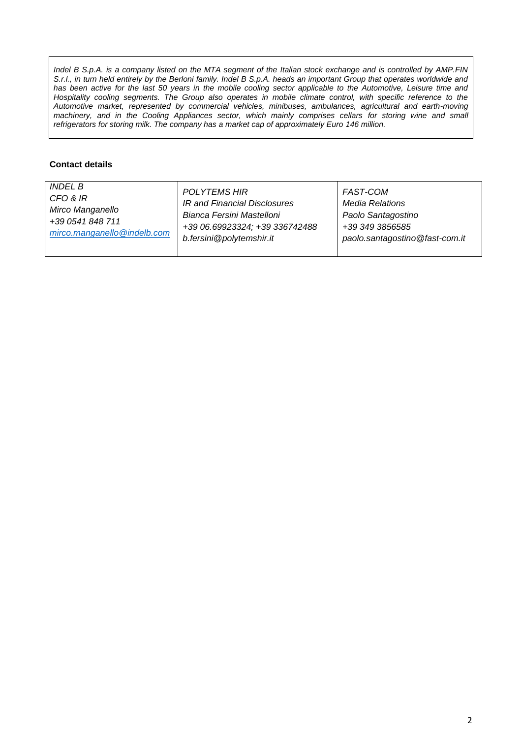*Indel B S.p.A. is a company listed on the MTA segment of the Italian stock exchange and is controlled by AMP.FIN S.r.l., in turn held entirely by the Berloni family. Indel B S.p.A. heads an important Group that operates worldwide and* has been active for the last 50 years in the mobile cooling sector applicable to the Automotive, Leisure time and Hospitality cooling segments. The Group also operates in mobile climate control, with specific reference to the *Automotive market, represented by commercial vehicles, minibuses, ambulances, agricultural and earth-moving machinery, and in the Cooling Appliances sector, which mainly comprises cellars for storing wine and small refrigerators for storing milk. The company has a market cap of approximately Euro 146 million.*

## **Contact details**

| <i>INDEL B</i>              | POLYTEMS HIR                   | FAST-COM                       |
|-----------------------------|--------------------------------|--------------------------------|
| CFO & IR                    | IR and Financial Disclosures   | Media Relations                |
| Mirco Manganello            | Bianca Fersini Mastelloni      | Paolo Santagostino             |
| +39 0541 848 711            | +39 06.69923324; +39 336742488 | +39 349 3856585                |
| mirco.manganello@indelb.com | b.fersini@polytemshir.it       | paolo.santagostino@fast-com.it |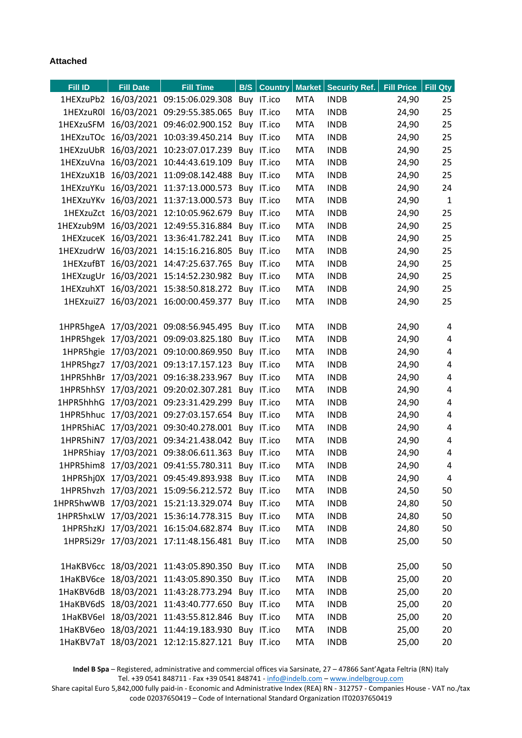## **Attached**

| Fill ID | <b>Fill Date</b> | <b>Fill Time</b>                                 |  |            | <b>B/S</b> Country Market Security Ref. | Fill Price   Fill Qty |                |
|---------|------------------|--------------------------------------------------|--|------------|-----------------------------------------|-----------------------|----------------|
|         |                  | 1HEXzuPb2 16/03/2021 09:15:06.029.308 Buy IT.ico |  | <b>MTA</b> | <b>INDB</b>                             | 24,90                 | 25             |
|         |                  | 1HEXzuR0l 16/03/2021 09:29:55.385.065 Buy IT.ico |  | <b>MTA</b> | <b>INDB</b>                             | 24,90                 | 25             |
|         |                  | 1HEXzuSFM 16/03/2021 09:46:02.900.152 Buy IT.ico |  | <b>MTA</b> | <b>INDB</b>                             | 24,90                 | 25             |
|         |                  | 1HEXzuTOc 16/03/2021 10:03:39.450.214 Buy IT.ico |  | <b>MTA</b> | <b>INDB</b>                             | 24,90                 | 25             |
|         |                  | 1HEXzuUbR 16/03/2021 10:23:07.017.239 Buy IT.ico |  | <b>MTA</b> | <b>INDB</b>                             | 24,90                 | 25             |
|         |                  | 1HEXzuVna 16/03/2021 10:44:43.619.109 Buy IT.ico |  | <b>MTA</b> | <b>INDB</b>                             | 24,90                 | 25             |
|         |                  | 1HEXzuX1B 16/03/2021 11:09:08.142.488 Buy IT.ico |  | <b>MTA</b> | <b>INDB</b>                             | 24,90                 | 25             |
|         |                  | 1HEXzuYKu 16/03/2021 11:37:13.000.573 Buy IT.ico |  | MTA        | <b>INDB</b>                             | 24,90                 | 24             |
|         |                  | 1HEXzuYKv 16/03/2021 11:37:13.000.573 Buy IT.ico |  | <b>MTA</b> | <b>INDB</b>                             | 24,90                 | $\mathbf{1}$   |
|         |                  | 1HEXzuZct 16/03/2021 12:10:05.962.679 Buy IT.ico |  | <b>MTA</b> | <b>INDB</b>                             | 24,90                 | 25             |
|         |                  | 1HEXzub9M 16/03/2021 12:49:55.316.884 Buy IT.ico |  | <b>MTA</b> | <b>INDB</b>                             | 24,90                 | 25             |
|         |                  | 1HEXzuceK 16/03/2021 13:36:41.782.241 Buy IT.ico |  | <b>MTA</b> | <b>INDB</b>                             | 24,90                 | 25             |
|         |                  | 1HEXzudrW 16/03/2021 14:15:16.216.805 Buy IT.ico |  | MTA        | <b>INDB</b>                             | 24,90                 | 25             |
|         |                  | 1HEXzufBT 16/03/2021 14:47:25.637.765 Buy IT.ico |  | <b>MTA</b> | <b>INDB</b>                             | 24,90                 | 25             |
|         |                  | 1HEXzugUr 16/03/2021 15:14:52.230.982 Buy IT.ico |  | <b>MTA</b> | <b>INDB</b>                             | 24,90                 | 25             |
|         |                  | 1HEXzuhXT 16/03/2021 15:38:50.818.272 Buy IT.ico |  | <b>MTA</b> | <b>INDB</b>                             | 24,90                 | 25             |
|         |                  | 1HEXzuiZ7 16/03/2021 16:00:00.459.377 Buy IT.ico |  | <b>MTA</b> | <b>INDB</b>                             | 24,90                 | 25             |
|         |                  |                                                  |  |            |                                         |                       |                |
|         |                  | 1HPR5hgeA 17/03/2021 09:08:56.945.495 Buy IT.ico |  | <b>MTA</b> | <b>INDB</b>                             | 24,90                 | 4              |
|         |                  | 1HPR5hgek 17/03/2021 09:09:03.825.180 Buy IT.ico |  | <b>MTA</b> | <b>INDB</b>                             | 24,90                 | $\overline{4}$ |
|         |                  | 1HPR5hgie 17/03/2021 09:10:00.869.950 Buy IT.ico |  | <b>MTA</b> | <b>INDB</b>                             | 24,90                 | $\overline{4}$ |
|         |                  | 1HPR5hgz7 17/03/2021 09:13:17.157.123 Buy IT.ico |  | <b>MTA</b> | <b>INDB</b>                             | 24,90                 | 4              |
|         |                  | 1HPR5hhBr 17/03/2021 09:16:38.233.967 Buy IT.ico |  | MTA        | <b>INDB</b>                             | 24,90                 | 4              |
|         |                  | 1HPR5hhSY 17/03/2021 09:20:02.307.281 Buy IT.ico |  | <b>MTA</b> | <b>INDB</b>                             | 24,90                 | $\overline{4}$ |
|         |                  | 1HPR5hhhG 17/03/2021 09:23:31.429.299 Buy IT.ico |  | <b>MTA</b> | <b>INDB</b>                             | 24,90                 | 4              |
|         |                  | 1HPR5hhuc 17/03/2021 09:27:03.157.654 Buy IT.ico |  | <b>MTA</b> | <b>INDB</b>                             | 24,90                 | $\overline{4}$ |
|         |                  | 1HPR5hiAC 17/03/2021 09:30:40.278.001 Buy IT.ico |  | <b>MTA</b> | <b>INDB</b>                             | 24,90                 | 4              |
|         |                  | 1HPR5hiN7 17/03/2021 09:34:21.438.042 Buy IT.ico |  | <b>MTA</b> | <b>INDB</b>                             | 24,90                 | 4              |
|         |                  | 1HPR5hiay 17/03/2021 09:38:06.611.363 Buy IT.ico |  | <b>MTA</b> | <b>INDB</b>                             | 24,90                 | $\overline{4}$ |
|         |                  | 1HPR5him8 17/03/2021 09:41:55.780.311 Buy IT.ico |  | <b>MTA</b> | <b>INDB</b>                             | 24,90                 | 4              |
|         |                  | 1HPR5hj0X 17/03/2021 09:45:49.893.938 Buy IT.ico |  | <b>MTA</b> | <b>INDB</b>                             | 24,90                 | $\overline{4}$ |
|         |                  | 1HPR5hvzh 17/03/2021 15:09:56.212.572 Buy IT.ico |  | <b>MTA</b> | <b>INDB</b>                             | 24,50                 | 50             |
|         |                  | 1HPR5hwWB 17/03/2021 15:21:13.329.074 Buy IT.ico |  | <b>MTA</b> | <b>INDB</b>                             | 24,80                 | 50             |
|         |                  | 1HPR5hxLW 17/03/2021 15:36:14.778.315 Buy IT.ico |  | <b>MTA</b> | <b>INDB</b>                             | 24,80                 | 50             |
|         |                  | 1HPR5hzKJ 17/03/2021 16:15:04.682.874 Buy IT.ico |  | <b>MTA</b> | <b>INDB</b>                             | 24,80                 | 50             |
|         |                  | 1HPR5i29r 17/03/2021 17:11:48.156.481 Buy IT.ico |  | <b>MTA</b> | <b>INDB</b>                             | 25,00                 | 50             |
|         |                  |                                                  |  |            |                                         |                       |                |
|         |                  | 1HaKBV6cc 18/03/2021 11:43:05.890.350 Buy IT.ico |  | <b>MTA</b> | <b>INDB</b>                             | 25,00                 | 50             |
|         |                  | 1HaKBV6ce 18/03/2021 11:43:05.890.350 Buy IT.ico |  | <b>MTA</b> | <b>INDB</b>                             | 25,00                 | 20             |
|         |                  | 1HaKBV6dB 18/03/2021 11:43:28.773.294 Buy IT.ico |  | <b>MTA</b> | <b>INDB</b>                             | 25,00                 | 20             |
|         |                  | 1HaKBV6dS 18/03/2021 11:43:40.777.650 Buy IT.ico |  | <b>MTA</b> | <b>INDB</b>                             | 25,00                 | 20             |
|         |                  | 1HaKBV6el 18/03/2021 11:43:55.812.846 Buy IT.ico |  | <b>MTA</b> | <b>INDB</b>                             | 25,00                 | 20             |
|         |                  | 1HaKBV6eo 18/03/2021 11:44:19.183.930 Buy IT.ico |  | <b>MTA</b> | <b>INDB</b>                             | 25,00                 | 20             |
|         |                  | 1HaKBV7aT 18/03/2021 12:12:15.827.121 Buy IT.ico |  | <b>MTA</b> | <b>INDB</b>                             | 25,00                 | 20             |

**Indel B Spa** – Registered, administrative and commercial offices via Sarsinate, 27 – 47866 Sant'Agata Feltria (RN) Italy Tel. +39 0541 848711 - Fax +39 0541 848741 - [info@indelb.com](mailto:info@indelb.com) – [www.indelbgroup.com](http://www.indelbgroup.com/)

Share capital Euro 5,842,000 fully paid-in - Economic and Administrative Index (REA) RN - 312757 - Companies House - VAT no./tax code 02037650419 – Code of International Standard Organization IT02037650419